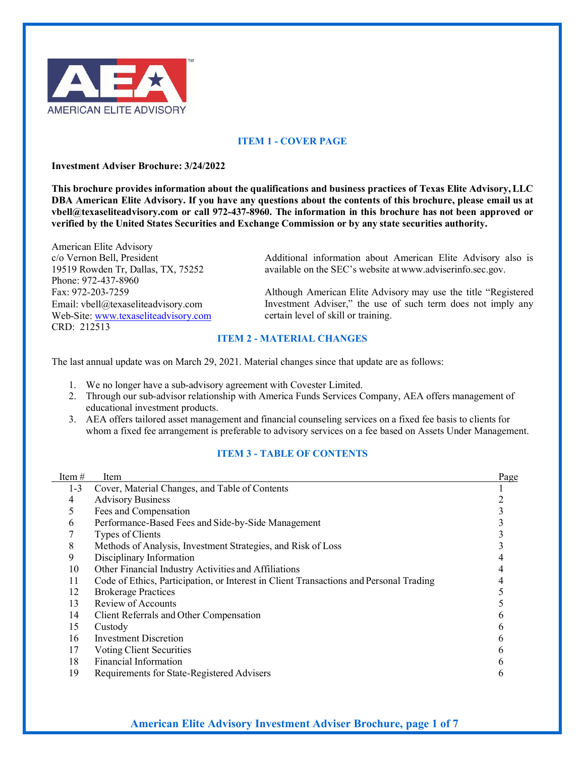

## **ITEM 1 - COVER PAGE**

#### **Investment Adviser Brochure: 3/24/2022**

**This brochure provides information about the qualifications and business practices of Texas Elite Advisory,LLC DBA American Elite Advisory. If you have any questions about the contents of this brochure, please email us at [vbell@texaseliteadvisory.com o](mailto:vbell@texaseliteadvisory.com)r call 972-437-8960. The information in this brochure has not been approved or verified by the United States Securities and Exchange Commission or by any state securities authority.**

American Elite Advisory c/o Vernon Bell, President 19519 Rowden Tr, Dallas, TX, 75252 Phone: 972-437-8960 Fax: 972-203-7259 Email[: vbell@texaseliteadvisory.com](mailto:vbell@texaseliteadvisory.com) Web-Site: [www.texaseliteadvisory.com](http://www.texaseliteadvisory.com/) CRD: 212513

Additional information about American Elite Advisory also is available on the SEC's website at [www.adviserinfo.sec.gov.](http://www.adviserinfo.sec.gov/)

Although American Elite Advisory may use the title "Registered Investment Adviser," the use of such term does not imply any certain level of skill or training.

### **ITEM 2 - MATERIAL CHANGES**

The last annual update was on March 29, 2021. Material changes since that update are as follows:

- 1. We no longer have a sub-advisory agreement with Covester Limited.
- 2. Through our sub-advisor relationship with America Funds Services Company, AEA offers management of educational investment products.
- 3. AEA offers tailored asset management and financial counseling services on a fixed fee basis to clients for whom a fixed fee arrangement is preferable to advisory services on a fee based on Assets Under Management.

#### **ITEM 3 - TABLE OF CONTENTS**

| Item $#$ | Item                                                                                   | Page |
|----------|----------------------------------------------------------------------------------------|------|
| $1 - 3$  | Cover, Material Changes, and Table of Contents                                         |      |
| 4        | <b>Advisory Business</b>                                                               |      |
| 5        | Fees and Compensation                                                                  |      |
| 6        | Performance-Based Fees and Side-by-Side Management                                     |      |
|          | Types of Clients                                                                       |      |
| 8        | Methods of Analysis, Investment Strategies, and Risk of Loss                           |      |
| 9        | Disciplinary Information                                                               |      |
| 10       | Other Financial Industry Activities and Affiliations                                   |      |
| 11       | Code of Ethics, Participation, or Interest in Client Transactions and Personal Trading |      |
| 12       | <b>Brokerage Practices</b>                                                             |      |
| 13       | Review of Accounts                                                                     |      |
| 14       | Client Referrals and Other Compensation                                                |      |
| 15       | Custody                                                                                |      |
| 16       | Investment Discretion                                                                  |      |
| 17       | Voting Client Securities                                                               |      |
| 18       | Financial Information                                                                  |      |
| 19       | Requirements for State-Registered Advisers                                             |      |
|          |                                                                                        |      |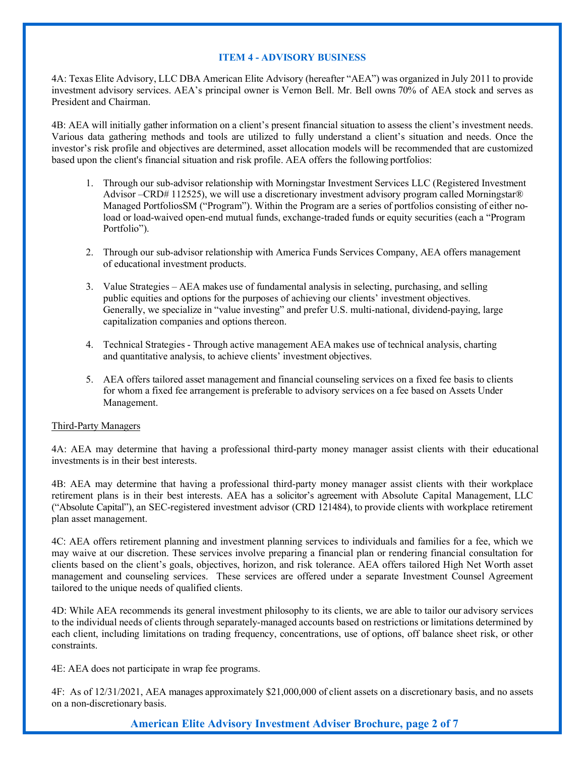#### **ITEM 4 - ADVISORY BUSINESS**

4A: Texas Elite Advisory, LLC DBA American Elite Advisory (hereafter "AEA") was organized in July 2011 to provide investment advisory services. AEA's principal owner is Vernon Bell. Mr. Bell owns 70% of AEA stock and serves as President and Chairman.

4B: AEA will initially gather information on a client's present financial situation to assess the client's investment needs. Various data gathering methods and tools are utilized to fully understand a client's situation and needs. Once the investor's risk profile and objectives are determined, asset allocation models will be recommended that are customized based upon the client's financial situation and risk profile. AEA offers the following portfolios:

- 1. Through our sub-advisor relationship with Morningstar Investment Services LLC (Registered Investment Advisor –CRD# 112525), we will use a discretionary investment advisory program called Morningstar® Managed PortfoliosSM ("Program"). Within the Program are a series of portfolios consisting of either noload or load-waived open-end mutual funds, exchange-traded funds or equity securities (each a "Program Portfolio").
- 2. Through our sub-advisor relationship with America Funds Services Company, AEA offers management of educational investment products.
- 3. Value Strategies AEA makes use of fundamental analysis in selecting, purchasing, and selling public equities and options for the purposes of achieving our clients' investment objectives. Generally, we specialize in "value investing" and prefer U.S. multi-national, dividend-paying, large capitalization companies and options thereon.
- 4. Technical Strategies Through active management AEA makes use of technical analysis, charting and quantitative analysis, to achieve clients' investment objectives.
- 5. AEA offers tailored asset management and financial counseling services on a fixed fee basis to clients for whom a fixed fee arrangement is preferable to advisory services on a fee based on Assets Under Management.

#### Third-Party Managers

4A: AEA may determine that having a professional third-party money manager assist clients with their educational investments is in their best interests.

4B: AEA may determine that having a professional third-party money manager assist clients with their workplace retirement plans is in their best interests. AEA has a solicitor's agreement with Absolute Capital Management, LLC ("Absolute Capital"), an SEC-registered investment advisor (CRD 121484), to provide clients with workplace retirement plan asset management.

4C: AEA offers retirement planning and investment planning services to individuals and families for a fee, which we may waive at our discretion. These services involve preparing a financial plan or rendering financial consultation for clients based on the client's goals, objectives, horizon, and risk tolerance. AEA offers tailored High Net Worth asset management and counseling services. These services are offered under a separate Investment Counsel Agreement tailored to the unique needs of qualified clients.

4D: While AEA recommends its general investment philosophy to its clients, we are able to tailor our advisory services to the individual needs of clients through separately-managed accounts based on restrictions or limitations determined by each client, including limitations on trading frequency, concentrations, use of options, off balance sheet risk, or other constraints.

4E: AEA does not participate in wrap fee programs.

4F: As of 12/31/2021, AEA manages approximately \$21,000,000 of client assets on a discretionary basis, and no assets on a non-discretionary basis.

**American Elite Advisory Investment Adviser Brochure, page 2 of 7**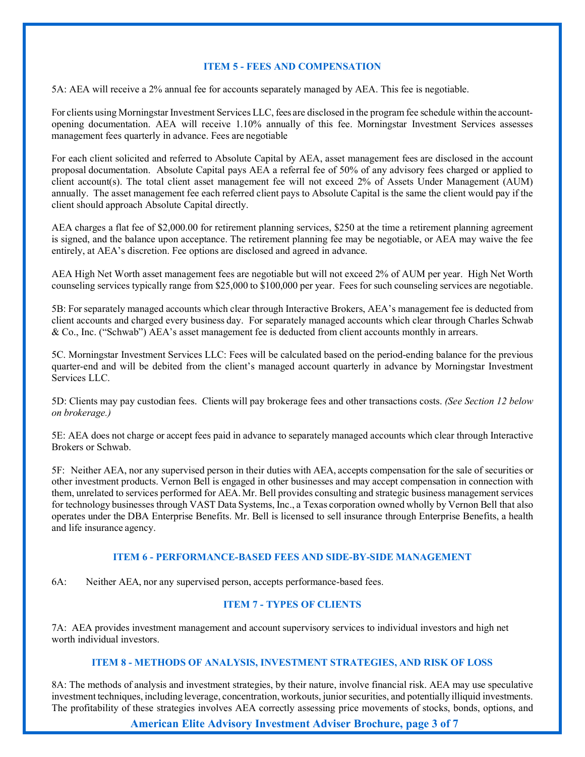### **ITEM 5 - FEES AND COMPENSATION**

5A: AEA will receive a 2% annual fee for accounts separately managed by AEA. This fee is negotiable.

For clients using Morningstar Investment Services LLC, fees are disclosed in the program fee schedule within the accountopening documentation. AEA will receive 1.10% annually of this fee. Morningstar Investment Services assesses management fees quarterly in advance. Fees are negotiable

For each client solicited and referred to Absolute Capital by AEA, asset management fees are disclosed in the account proposal documentation. Absolute Capital pays AEA a referral fee of 50% of any advisory fees charged or applied to client account(s). The total client asset management fee will not exceed 2% of Assets Under Management (AUM) annually. The asset management fee each referred client pays to Absolute Capital is the same the client would pay if the client should approach Absolute Capital directly.

AEA charges a flat fee of \$2,000.00 for retirement planning services, \$250 at the time a retirement planning agreement is signed, and the balance upon acceptance. The retirement planning fee may be negotiable, or AEA may waive the fee entirely, at AEA's discretion. Fee options are disclosed and agreed in advance.

AEA High Net Worth asset management fees are negotiable but will not exceed 2% of AUM per year. High Net Worth counseling services typically range from \$25,000 to \$100,000 per year. Fees for such counseling services are negotiable.

5B: For separately managed accounts which clear through Interactive Brokers, AEA's management fee is deducted from client accounts and charged every business day. For separately managed accounts which clear through Charles Schwab & Co., Inc. ("Schwab") AEA's asset management fee is deducted from client accounts monthly in arrears.

5C. Morningstar Investment Services LLC: Fees will be calculated based on the period-ending balance for the previous quarter-end and will be debited from the client's managed account quarterly in advance by Morningstar Investment Services LLC.

5D: Clients may pay custodian fees. Clients will pay brokerage fees and other transactions costs. *(See Section 12 below on brokerage.)*

5E: AEA does not charge or accept fees paid in advance to separately managed accounts which clear through Interactive Brokers or Schwab.

5F: Neither AEA, nor any supervised person in their duties with AEA, accepts compensation for the sale of securities or other investment products. Vernon Bell is engaged in other businesses and may accept compensation in connection with them, unrelated to services performed for AEA. Mr. Bell provides consulting and strategic business management services for technology businesses through VAST Data Systems, Inc., a Texas corporation owned wholly by Vernon Bell that also operates under the DBA Enterprise Benefits. Mr. Bell is licensed to sell insurance through Enterprise Benefits, a health and life insurance agency.

#### **ITEM 6 - PERFORMANCE-BASED FEES AND SIDE-BY-SIDE MANAGEMENT**

6A: Neither AEA, nor any supervised person, accepts performance-based fees.

### **ITEM 7 - TYPES OF CLIENTS**

7A: AEA provides investment management and account supervisory services to individual investors and high net worth individual investors.

### **ITEM 8 - METHODS OF ANALYSIS, INVESTMENT STRATEGIES, AND RISK OF LOSS**

8A: The methods of analysis and investment strategies, by their nature, involve financial risk. AEA may use speculative investment techniques, including leverage, concentration,workouts, juniorsecurities, and potentially illiquid investments. The profitability of these strategies involves AEA correctly assessing price movements of stocks, bonds, options, and

**American Elite Advisory Investment Adviser Brochure, page 3 of 7**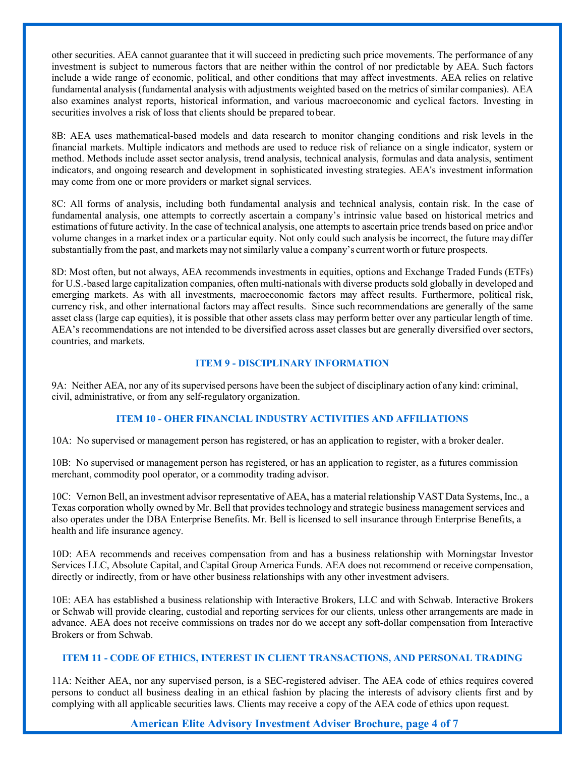other securities. AEA cannot guarantee that it will succeed in predicting such price movements. The performance of any investment is subject to numerous factors that are neither within the control of nor predictable by AEA. Such factors include a wide range of economic, political, and other conditions that may affect investments. AEA relies on relative fundamental analysis (fundamental analysis with adjustments weighted based on the metrics of similar companies). AEA also examines analyst reports, historical information, and various macroeconomic and cyclical factors. Investing in securities involves a risk of loss that clients should be prepared tobear.

8B: AEA uses mathematical-based models and data research to monitor changing conditions and risk levels in the financial markets. Multiple indicators and methods are used to reduce risk of reliance on a single indicator, system or method. Methods include asset sector analysis, trend analysis, technical analysis, formulas and data analysis, sentiment indicators, and ongoing research and development in sophisticated investing strategies. AEA's investment information may come from one or more providers or market signal services.

8C: All forms of analysis, including both fundamental analysis and technical analysis, contain risk. In the case of fundamental analysis, one attempts to correctly ascertain a company's intrinsic value based on historical metrics and estimations of future activity. In the case of technical analysis, one attempts to ascertain price trends based on price and\or volume changes in a market index or a particular equity. Not only could such analysis be incorrect, the future may differ substantially fromthe past, and markets may notsimilarly value a company's current worth or future prospects.

8D: Most often, but not always, AEA recommends investments in equities, options and Exchange Traded Funds (ETFs) for U.S.-based large capitalization companies, often multi-nationals with diverse products sold globally in developed and emerging markets. As with all investments, macroeconomic factors may affect results. Furthermore, political risk, currency risk, and other international factors may affect results. Since such recommendations are generally of the same asset class (large cap equities), it is possible that other assets class may perform better over any particular length of time. AEA's recommendations are not intended to be diversified across asset classes but are generally diversified over sectors, countries, and markets.

### **ITEM 9 - DISCIPLINARY INFORMATION**

9A: Neither AEA, nor any of its supervised persons have been the subject of disciplinary action of any kind: criminal, civil, administrative, or from any self-regulatory organization.

### **ITEM 10 - OHER FINANCIAL INDUSTRY ACTIVITIES AND AFFILIATIONS**

10A: No supervised or management person has registered, or has an application to register, with a broker dealer.

10B: No supervised or management person has registered, or has an application to register, as a futures commission merchant, commodity pool operator, or a commodity trading advisor.

10C: VernonBell, an investment advisor representative of AEA, has a material relationship VAST Data Systems, Inc., a Texas corporation wholly owned by Mr. Bell that providestechnology and strategic business management services and also operates under the DBA Enterprise Benefits. Mr. Bell is licensed to sell insurance through Enterprise Benefits, a health and life insurance agency.

10D: AEA recommends and receives compensation from and has a business relationship with Morningstar Investor Services LLC, Absolute Capital, and Capital Group America Funds. AEA does not recommend or receive compensation, directly or indirectly, from or have other business relationships with any other investment advisers.

10E: AEA has established a business relationship with Interactive Brokers, LLC and with Schwab. Interactive Brokers or Schwab will provide clearing, custodial and reporting services for our clients, unless other arrangements are made in advance. AEA does not receive commissions on trades nor do we accept any soft-dollar compensation from Interactive Brokers or from Schwab.

### **ITEM 11 - CODE OF ETHICS, INTEREST IN CLIENT TRANSACTIONS, AND PERSONAL TRADING**

11A: Neither AEA, nor any supervised person, is a SEC-registered adviser. The AEA code of ethics requires covered persons to conduct all business dealing in an ethical fashion by placing the interests of advisory clients first and by complying with all applicable securities laws. Clients may receive a copy of the AEA code of ethics upon request.

# **American Elite Advisory Investment Adviser Brochure, page 4 of 7**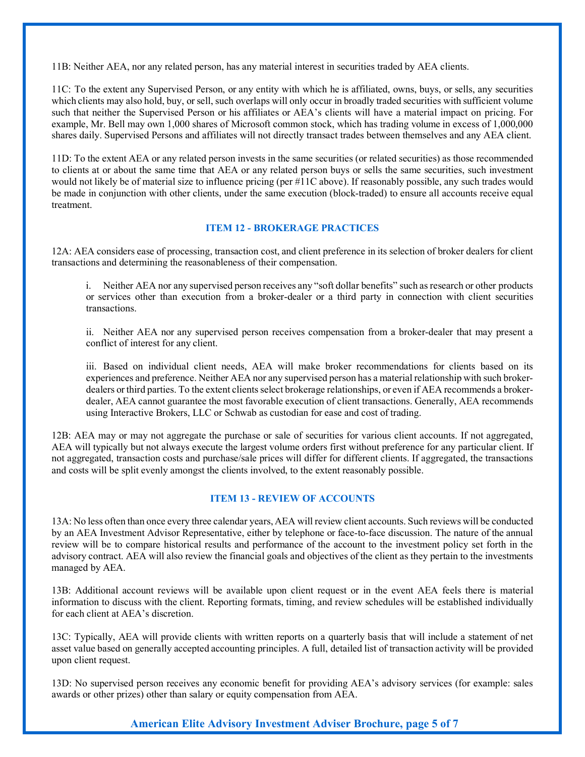11B: Neither AEA, nor any related person, has any material interest in securities traded by AEA clients.

11C: To the extent any Supervised Person, or any entity with which he is affiliated, owns, buys, or sells, any securities which clients may also hold, buy, or sell, such overlaps will only occur in broadly traded securities with sufficient volume such that neither the Supervised Person or his affiliates or AEA's clients will have a material impact on pricing. For example, Mr. Bell may own 1,000 shares of Microsoft common stock, which has trading volume in excess of 1,000,000 shares daily. Supervised Persons and affiliates will not directly transact trades between themselves and any AEA client.

11D: To the extent AEA or any related person invests in the same securities (or related securities) as those recommended to clients at or about the same time that AEA or any related person buys or sells the same securities, such investment would not likely be of material size to influence pricing (per #11C above). If reasonably possible, any such trades would be made in conjunction with other clients, under the same execution (block-traded) to ensure all accounts receive equal treatment.

### **ITEM 12 - BROKERAGE PRACTICES**

12A: AEA considers ease of processing, transaction cost, and client preference in its selection of broker dealers for client transactions and determining the reasonableness of their compensation.

i. Neither AEA nor any supervised person receives any "soft dollar benefits" such asresearch or other products or services other than execution from a broker-dealer or a third party in connection with client securities transactions.

ii. Neither AEA nor any supervised person receives compensation from a broker-dealer that may present a conflict of interest for any client.

iii. Based on individual client needs, AEA will make broker recommendations for clients based on its experiences and preference. Neither AEA nor any supervised person has a material relationship with such brokerdealers or third parties. To the extent clients select brokerage relationships, or even if AEA recommends a brokerdealer, AEA cannot guarantee the most favorable execution of client transactions. Generally, AEA recommends using Interactive Brokers, LLC or Schwab as custodian for ease and cost of trading.

12B: AEA may or may not aggregate the purchase or sale of securities for various client accounts. If not aggregated, AEA will typically but not always execute the largest volume orders first without preference for any particular client. If not aggregated, transaction costs and purchase/sale prices will differ for different clients. If aggregated, the transactions and costs will be split evenly amongst the clients involved, to the extent reasonably possible.

### **ITEM 13 - REVIEW OF ACCOUNTS**

13A: No less often than once every three calendar years, AEA will review client accounts. Such reviews will be conducted by an AEA Investment Advisor Representative, either by telephone or face-to-face discussion. The nature of the annual review will be to compare historical results and performance of the account to the investment policy set forth in the advisory contract. AEA will also review the financial goals and objectives of the client as they pertain to the investments managed by AEA.

13B: Additional account reviews will be available upon client request or in the event AEA feels there is material information to discuss with the client. Reporting formats, timing, and review schedules will be established individually for each client at AEA's discretion.

13C: Typically, AEA will provide clients with written reports on a quarterly basis that will include a statement of net asset value based on generally accepted accounting principles. A full, detailed list of transaction activity will be provided upon client request.

13D: No supervised person receives any economic benefit for providing AEA's advisory services (for example: sales awards or other prizes) other than salary or equity compensation from AEA.

## **American Elite Advisory Investment Adviser Brochure, page 5 of 7**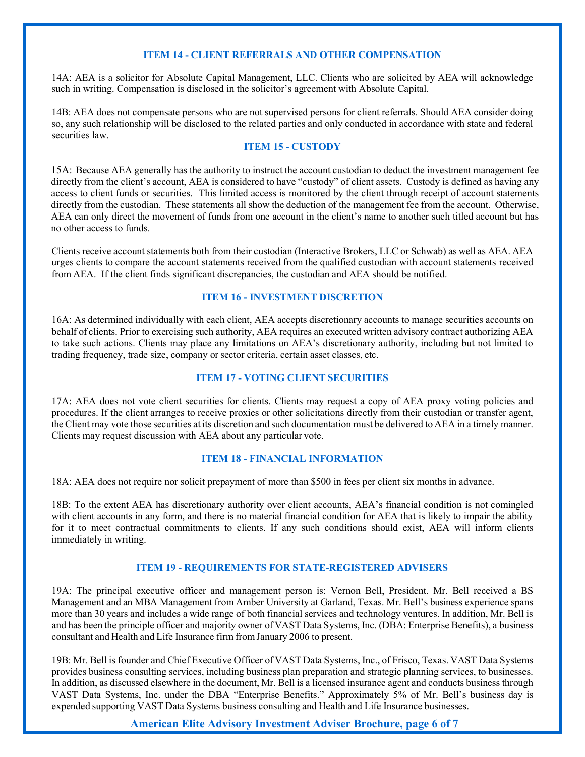### **ITEM 14 - CLIENT REFERRALS AND OTHER COMPENSATION**

14A: AEA is a solicitor for Absolute Capital Management, LLC. Clients who are solicited by AEA will acknowledge such in writing. Compensation is disclosed in the solicitor's agreement with Absolute Capital.

14B: AEA does not compensate persons who are not supervised persons for client referrals. Should AEA consider doing so, any such relationship will be disclosed to the related parties and only conducted in accordance with state and federal securities law.

### **ITEM 15 - CUSTODY**

15A: Because AEA generally has the authority to instruct the account custodian to deduct the investment management fee directly from the client's account, AEA is considered to have "custody" of client assets. Custody is defined as having any access to client funds or securities. This limited access is monitored by the client through receipt of account statements directly from the custodian. These statements all show the deduction of the management fee from the account. Otherwise, AEA can only direct the movement of funds from one account in the client's name to another such titled account but has no other access to funds.

Clients receive account statements both from their custodian (Interactive Brokers, LLC or Schwab) as well as AEA. AEA urges clients to compare the account statements received from the qualified custodian with account statements received from AEA. If the client finds significant discrepancies, the custodian and AEA should be notified.

### **ITEM 16 - INVESTMENT DISCRETION**

16A: As determined individually with each client, AEA accepts discretionary accounts to manage securities accounts on behalf of clients. Prior to exercising such authority, AEA requires an executed written advisory contract authorizing AEA to take such actions. Clients may place any limitations on AEA's discretionary authority, including but not limited to trading frequency, trade size, company or sector criteria, certain asset classes, etc.

#### **ITEM 17 - VOTING CLIENT SECURITIES**

17A: AEA does not vote client securities for clients. Clients may request a copy of AEA proxy voting policies and procedures. If the client arranges to receive proxies or other solicitations directly from their custodian or transfer agent, the Client may vote those securities at its discretion and such documentation must be delivered to AEA in a timely manner. Clients may request discussion with AEA about any particular vote.

#### **ITEM 18 - FINANCIAL INFORMATION**

18A: AEA does not require nor solicit prepayment of more than \$500 in fees per client six months in advance.

18B: To the extent AEA has discretionary authority over client accounts, AEA's financial condition is not comingled with client accounts in any form, and there is no material financial condition for AEA that is likely to impair the ability for it to meet contractual commitments to clients. If any such conditions should exist, AEA will inform clients immediately in writing.

#### **ITEM 19 - REQUIREMENTS FOR STATE-REGISTERED ADVISERS**

19A: The principal executive officer and management person is: Vernon Bell, President. Mr. Bell received a BS Management and an MBA Management from Amber University at Garland, Texas. Mr. Bell's business experience spans more than 30 years and includes a wide range of both financial services and technology ventures. In addition, Mr. Bell is and has been the principle officer and majority owner of VAST Data Systems, Inc. (DBA: Enterprise Benefits), a business consultant and Health and Life Insurance firmfromJanuary 2006 to present.

19B: Mr. Bell is founder and Chief Executive Officer of VAST Data Systems, Inc., of Frisco, Texas. VAST Data Systems provides business consulting services, including business plan preparation and strategic planning services, to businesses. In addition, as discussed elsewhere in the document, Mr. Bell is a licensed insurance agent and conducts business through VAST Data Systems, Inc. under the DBA "Enterprise Benefits." Approximately 5% of Mr. Bell's business day is expended supporting VAST Data Systems business consulting and Health and Life Insurance businesses.

**American Elite Advisory Investment Adviser Brochure, page 6 of 7**